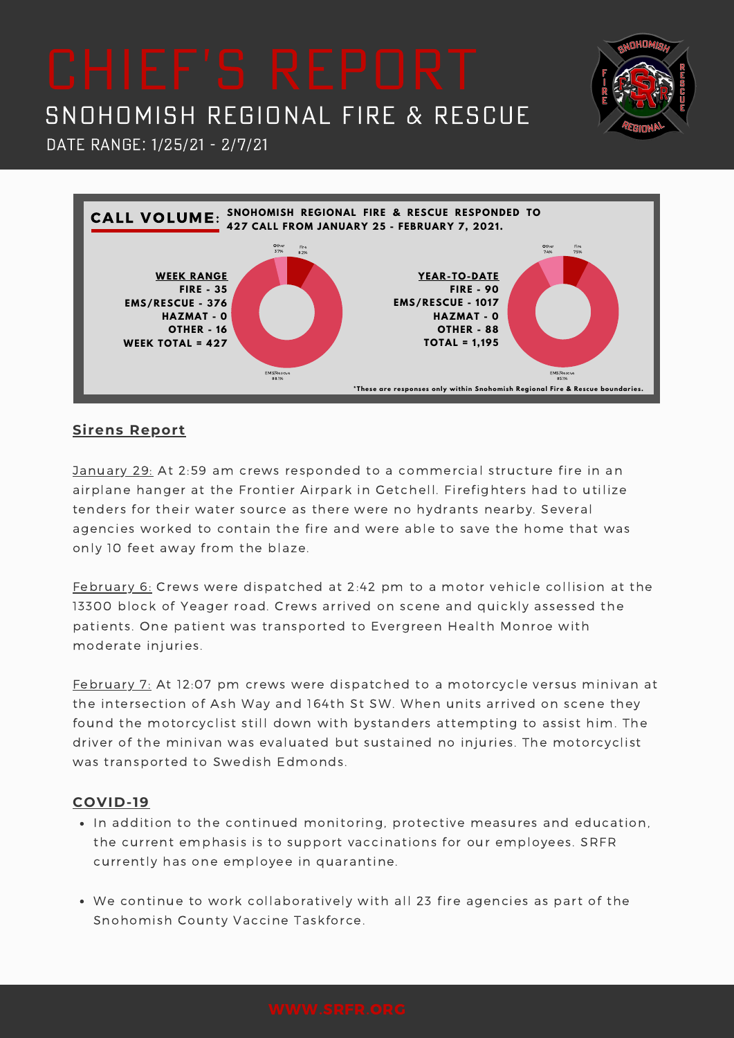Date Range: 1/25/21 - 2/7/21



### **Sirens Report**

January 29: At 2:59 am crews responded to a commercial structure fire in an airplane hanger at the Frontier Airpark in Getchell. Firefighters had to utilize tenders for their water source as there were no hydrants nearby. Several agencies worked to contain the fire and were able to save the home that was only 10 feet away from the blaze.

February 6: Crews were dispatched at 2:42 pm to a motor vehicle collision at the 13300 block of Yeager road. Crews arrived on scene and quickly assessed the patients. One patient was transported to Evergreen Health Monroe with moderate injuries.

February 7: At 12:07 pm crews were dispatched to a motorcycle versus minivan at the intersection of Ash Way and 164th St SW. When units arrived on scene they found the motorcyclist still down with bystanders attempting to assist him. The driver of the minivan was evaluated but sustained no injuries. The motorcyclist was transported to Swedish Edmonds.

### **COVID-19**

- In addition to the continued monitoring, protective measures and education, the current emphasis is to support vaccinations for our employees. SRFR currently has one employee in quarantine.
- We continue to work collaboratively with all 23 fire agencies as part of the Snohomish County Vaccine Taskforce.

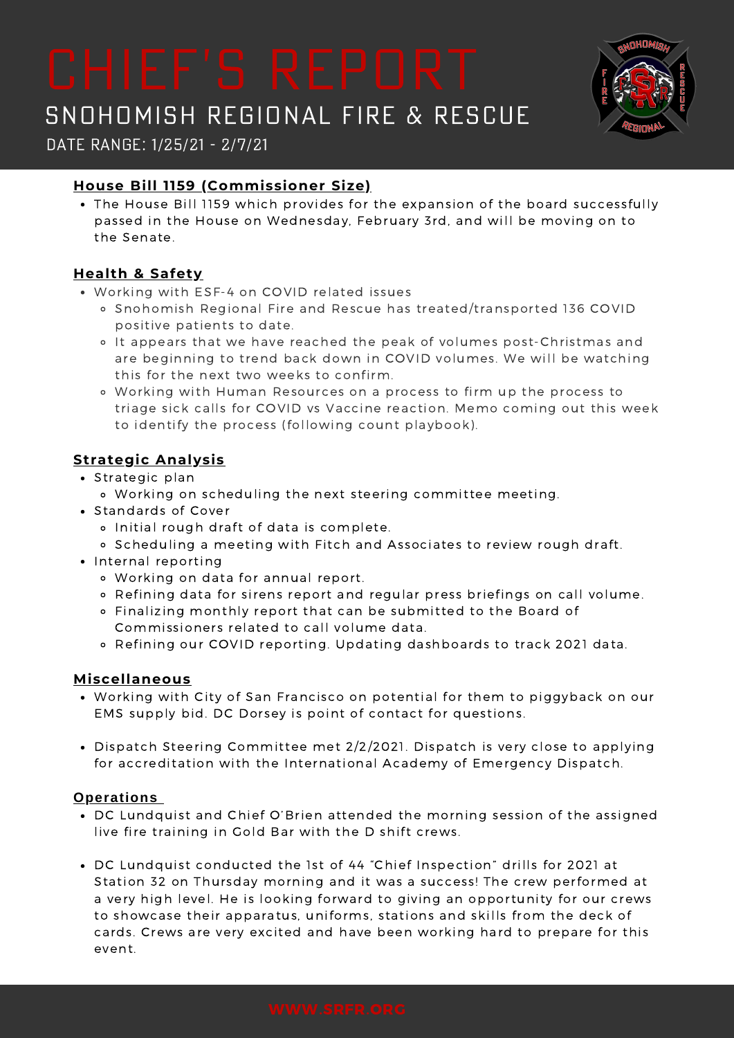

Date Range: 1/25/21 - 2/7/21

## **House Bill 1159 (Commissioner Size)**

The House Bill 1159 which provides for the expansion of the board successfully passed in the House on Wednesday, February 3rd, and will be moving on to the Senate.

## **Health & Safety**

- Working with ESF-4 on COVID related issues
	- o Snohomish Regional Fire and Rescue has treated/transported 136 COVID positive patients to date.
	- It appears that we have reached the peak of volumes post-Christmas and are beginning to trend back down in COVID volumes. We will be watching this for the next two weeks to confirm.
	- Working with Human Resources on a process to firm up the process to triage sick calls for COVID vs Vaccine reaction. Memo coming out this week to identify the process (following count playbook).

## **Strategic Analysis**

- Strategic plan
	- Working on scheduling the next steering committee meeting.
- Standards of Cover
	- o Initial rough draft of data is complete.
	- o Scheduling a meeting with Fitch and Associates to review rough draft.
- Internal reporting
	- Working on data for annual report.
	- Refining data for sirens report and regular press briefings on call volume.
	- Finalizing monthly report that can be submitted to the Board of Commissioners related to call volume data.
	- Refining our COVID reporting. Updating dashboards to track 2021 data.

### **Miscellaneous**

- Working with City of San Francisco on potential for them to piggyback on our EMS supply bid. DC Dorsey is point of contact for questions.
- Dispatch Steering Committee met 2/2/2021. Dispatch is very close to applying for accreditation with the International Academy of Emergency Dispatch.

### **Operations**

- DC Lundquist and Chief O'Brien attended the morning session of the assigned live fire training in Gold Bar with the D shift crews.
- DC Lundquist conducted the 1st of 44 "Chief Inspection" drills for 2021 at Station 32 on Thursday morning and it was a success! The crew performed at a very high level. He is looking forward to giving an opportunity for our crews to showcase their apparatus, uniforms, stations and skills from the deck of cards. Crews are very excited and have been working hard to prepare for this event.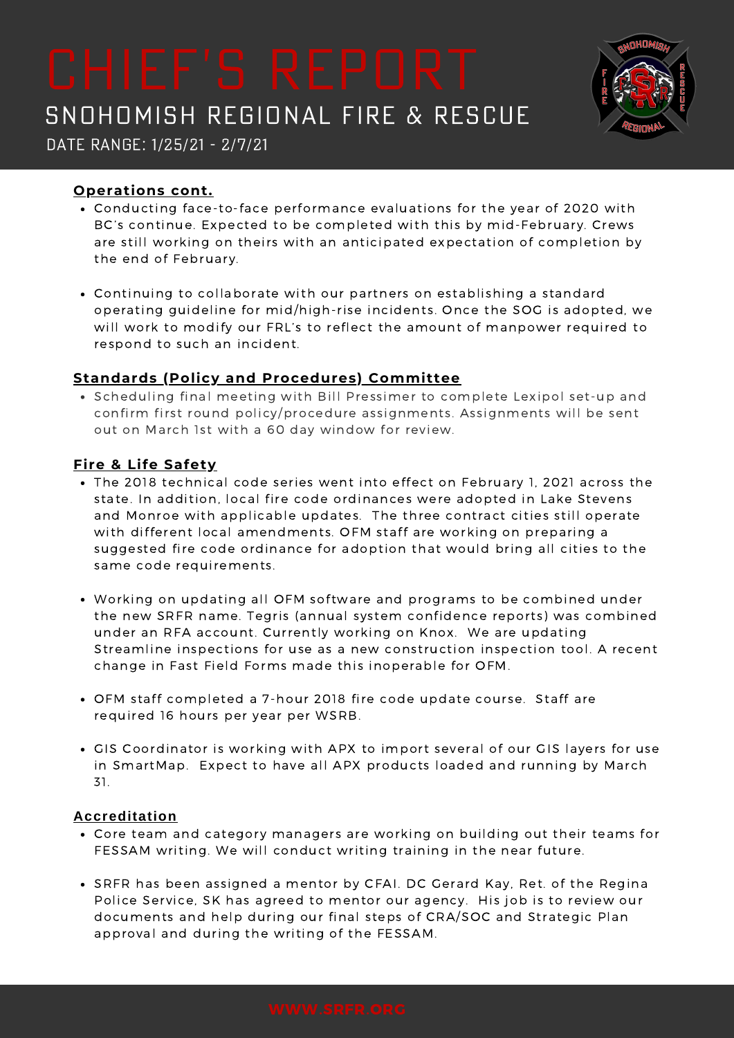Date Range: 1/25/21 - 2/7/21

### **Operations cont.**

- Conducting face-to-face performance evaluations for the year of 2020 with BC's continue. Expected to be completed with this by mid-February. Crews are still working on theirs with an anticipated expectation of completion by the end of February.
- Continuing to collaborate with our partners on establishing a standard operating guideline for mid/high-rise incidents. Once the SOG is adopted, we will work to modify our FRL's to reflect the amount of manpower required to respond to such an incident.

## **Standards (Policy and Procedures) Committee**

Scheduling final meeting with Bill Pressimer to complete Lexipol set-up and confirm first round policy/procedure assignments. Assignments will be sent out on March 1st with a 60 day window for review.

### **Fire & Life Safety**

- The 2018 technical code series went into effect on February 1, 2021 across the state. In addition, local fire code ordinances were adopted in Lake Stevens and Monroe with applicable updates. The three contract cities still operate with different local amendments. OFM staff are working on preparing a suggested fire code ordinance for adoption that would bring all cities to the same code requirements.
- Working on updating all OFM software and programs to be combined under the new SRFR name. Tegris (annual system confidence reports) was combined under an RFA account. Currently working on Knox. We are updating Streamline inspections for use as a new construction inspection tool. A recent change in Fast Field Forms made this inoperable for OFM.
- OFM staff completed a 7-hour 2018 fire code update course. Staff are required 16 hours per year per WSRB.
- GIS Coordinator is working with APX to import several of our GIS layers for use in SmartMap. Expect to have all APX products loaded and running by March 31.

### **Accreditation**

- Core team and category managers are working on building out their teams for FESSAM writing. We will conduct writing training in the near future.
- SRFR has been assigned a mentor by CFAI. DC Gerard Kay, Ret. of the Regina Police Service, SK has agreed to mentor our agency. His job is to review our documents and help during our final steps of CRA/SOC and Strategic Plan approval and during the writing of the FESSAM.